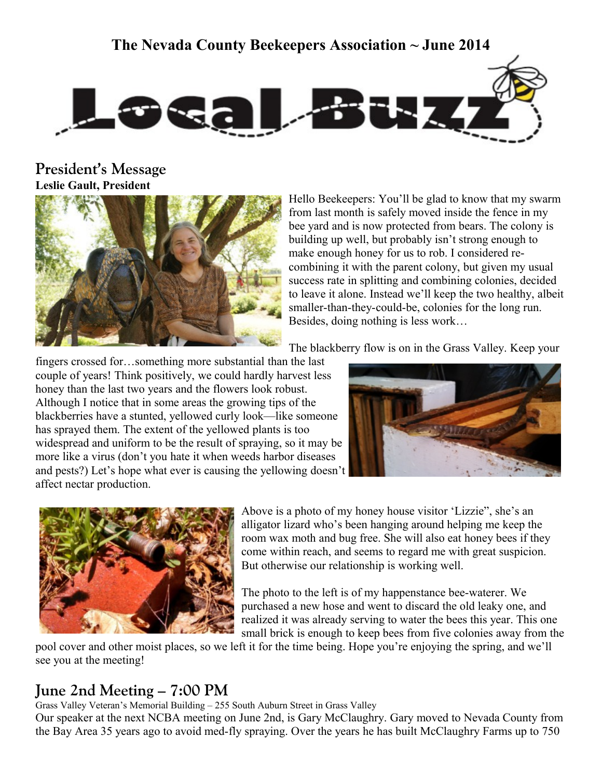# **The Nevada County Beekeepers Association ~ June 2014**



**President's Message Leslie Gault, President**



Hello Beekeepers: You'll be glad to know that my swarm from last month is safely moved inside the fence in my bee yard and is now protected from bears. The colony is building up well, but probably isn't strong enough to make enough honey for us to rob. I considered recombining it with the parent colony, but given my usual success rate in splitting and combining colonies, decided to leave it alone. Instead we'll keep the two healthy, albeit smaller-than-they-could-be, colonies for the long run. Besides, doing nothing is less work…

The blackberry flow is on in the Grass Valley. Keep your

fingers crossed for…something more substantial than the last couple of years! Think positively, we could hardly harvest less honey than the last two years and the flowers look robust. Although I notice that in some areas the growing tips of the blackberries have a stunted, yellowed curly look—like someone has sprayed them. The extent of the yellowed plants is too widespread and uniform to be the result of spraying, so it may be more like a virus (don't you hate it when weeds harbor diseases and pests?) Let's hope what ever is causing the yellowing doesn't affect nectar production.





Above is a photo of my honey house visitor 'Lizzie", she's an alligator lizard who's been hanging around helping me keep the room wax moth and bug free. She will also eat honey bees if they come within reach, and seems to regard me with great suspicion. But otherwise our relationship is working well.

The photo to the left is of my happenstance bee-waterer. We purchased a new hose and went to discard the old leaky one, and realized it was already serving to water the bees this year. This one small brick is enough to keep bees from five colonies away from the

pool cover and other moist places, so we left it for the time being. Hope you're enjoying the spring, and we'll see you at the meeting!

## **June 2nd Meeting – 7:00 PM**

Grass Valley Veteran's Memorial Building – 255 South Auburn Street in Grass Valley

Our speaker at the next NCBA meeting on June 2nd, is Gary McClaughry. Gary moved to Nevada County from the Bay Area 35 years ago to avoid med-fly spraying. Over the years he has built McClaughry Farms up to 750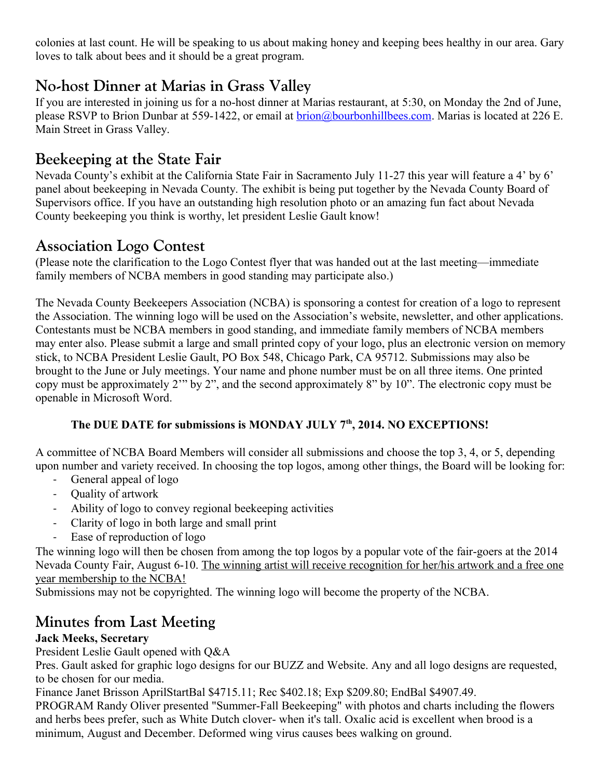colonies at last count. He will be speaking to us about making honey and keeping bees healthy in our area. Gary loves to talk about bees and it should be a great program.

# **No-host Dinner at Marias in Grass Valley**

If you are interested in joining us for a no-host dinner at Marias restaurant, at 5:30, on Monday the 2nd of June, please RSVP to Brion Dunbar at 559-1422, or email at [brion@bourbonhillbees.com.](mailto:brion@bourbonhillbees.com) Marias is located at 226 E. Main Street in Grass Valley.

# **Beekeeping at the State Fair**

Nevada County's exhibit at the California State Fair in Sacramento July 11-27 this year will feature a 4' by 6' panel about beekeeping in Nevada County. The exhibit is being put together by the Nevada County Board of Supervisors office. If you have an outstanding high resolution photo or an amazing fun fact about Nevada County beekeeping you think is worthy, let president Leslie Gault know!

## **Association Logo Contest**

(Please note the clarification to the Logo Contest flyer that was handed out at the last meeting—immediate family members of NCBA members in good standing may participate also.)

The Nevada County Beekeepers Association (NCBA) is sponsoring a contest for creation of a logo to represent the Association. The winning logo will be used on the Association's website, newsletter, and other applications. Contestants must be NCBA members in good standing, and immediate family members of NCBA members may enter also. Please submit a large and small printed copy of your logo, plus an electronic version on memory stick, to NCBA President Leslie Gault, PO Box 548, Chicago Park, CA 95712. Submissions may also be brought to the June or July meetings. Your name and phone number must be on all three items. One printed copy must be approximately 2'" by 2", and the second approximately 8" by 10". The electronic copy must be openable in Microsoft Word.

### **The DUE DATE for submissions is MONDAY JULY 7th, 2014. NO EXCEPTIONS!**

A committee of NCBA Board Members will consider all submissions and choose the top 3, 4, or 5, depending upon number and variety received. In choosing the top logos, among other things, the Board will be looking for:

- General appeal of logo
- Quality of artwork
- Ability of logo to convey regional beekeeping activities
- Clarity of logo in both large and small print
- Ease of reproduction of logo

The winning logo will then be chosen from among the top logos by a popular vote of the fair-goers at the 2014 Nevada County Fair, August 6-10. The winning artist will receive recognition for her/his artwork and a free one year membership to the NCBA!

Submissions may not be copyrighted. The winning logo will become the property of the NCBA.

# **Minutes from Last Meeting**

### **Jack Meeks, Secretary**

President Leslie Gault opened with Q&A

Pres. Gault asked for graphic logo designs for our BUZZ and Website. Any and all logo designs are requested, to be chosen for our media.

Finance Janet Brisson AprilStartBal \$4715.11; Rec \$402.18; Exp \$209.80; EndBal \$4907.49.

PROGRAM Randy Oliver presented "Summer-Fall Beekeeping" with photos and charts including the flowers and herbs bees prefer, such as White Dutch clover- when it's tall. Oxalic acid is excellent when brood is a minimum, August and December. Deformed wing virus causes bees walking on ground.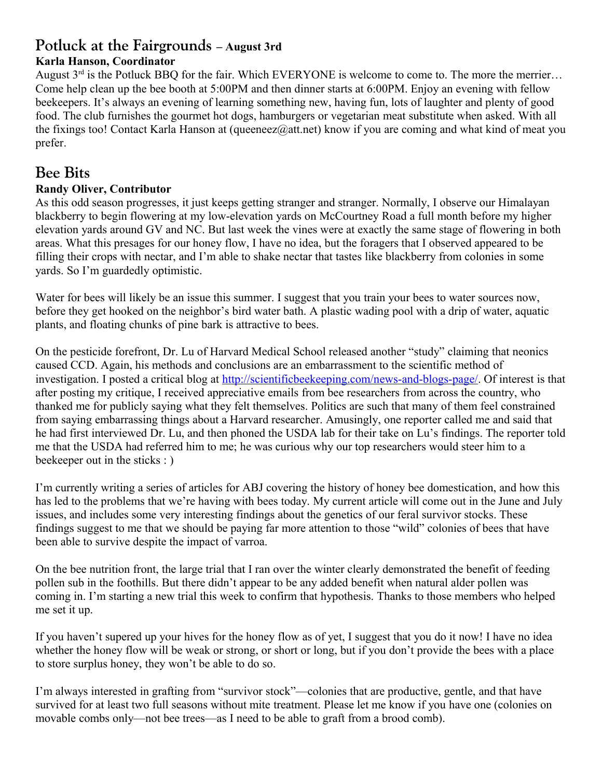## **Potluck at the Fairgrounds – August 3rd**

#### **Karla Hanson, Coordinator**

August  $3^{rd}$  is the Potluck BBQ for the fair. Which EVERYONE is welcome to come to. The more the merrier... Come help clean up the bee booth at 5:00PM and then dinner starts at 6:00PM. Enjoy an evening with fellow beekeepers. It's always an evening of learning something new, having fun, lots of laughter and plenty of good food. The club furnishes the gourmet hot dogs, hamburgers or vegetarian meat substitute when asked. With all the fixings too! Contact Karla Hanson at (queeneez@att.net) know if you are coming and what kind of meat you prefer.

## **Bee Bits**

#### **Randy Oliver, Contributor**

As this odd season progresses, it just keeps getting stranger and stranger. Normally, I observe our Himalayan blackberry to begin flowering at my low-elevation yards on McCourtney Road a full month before my higher elevation yards around GV and NC. But last week the vines were at exactly the same stage of flowering in both areas. What this presages for our honey flow, I have no idea, but the foragers that I observed appeared to be filling their crops with nectar, and I'm able to shake nectar that tastes like blackberry from colonies in some yards. So I'm guardedly optimistic.

Water for bees will likely be an issue this summer. I suggest that you train your bees to water sources now, before they get hooked on the neighbor's bird water bath. A plastic wading pool with a drip of water, aquatic plants, and floating chunks of pine bark is attractive to bees.

On the pesticide forefront, Dr. Lu of Harvard Medical School released another "study" claiming that neonics caused CCD. Again, his methods and conclusions are an embarrassment to the scientific method of investigation. I posted a critical blog at [http://scientificbeekeeping.com/news-and-blogs-page/.](http://scientificbeekeeping.com/news-and-blogs-page/) Of interest is that after posting my critique, I received appreciative emails from bee researchers from across the country, who thanked me for publicly saying what they felt themselves. Politics are such that many of them feel constrained from saying embarrassing things about a Harvard researcher. Amusingly, one reporter called me and said that he had first interviewed Dr. Lu, and then phoned the USDA lab for their take on Lu's findings. The reporter told me that the USDA had referred him to me; he was curious why our top researchers would steer him to a beekeeper out in the sticks : )

I'm currently writing a series of articles for ABJ covering the history of honey bee domestication, and how this has led to the problems that we're having with bees today. My current article will come out in the June and July issues, and includes some very interesting findings about the genetics of our feral survivor stocks. These findings suggest to me that we should be paying far more attention to those "wild" colonies of bees that have been able to survive despite the impact of varroa.

On the bee nutrition front, the large trial that I ran over the winter clearly demonstrated the benefit of feeding pollen sub in the foothills. But there didn't appear to be any added benefit when natural alder pollen was coming in. I'm starting a new trial this week to confirm that hypothesis. Thanks to those members who helped me set it up.

If you haven't supered up your hives for the honey flow as of yet, I suggest that you do it now! I have no idea whether the honey flow will be weak or strong, or short or long, but if you don't provide the bees with a place to store surplus honey, they won't be able to do so.

I'm always interested in grafting from "survivor stock"—colonies that are productive, gentle, and that have survived for at least two full seasons without mite treatment. Please let me know if you have one (colonies on movable combs only—not bee trees—as I need to be able to graft from a brood comb).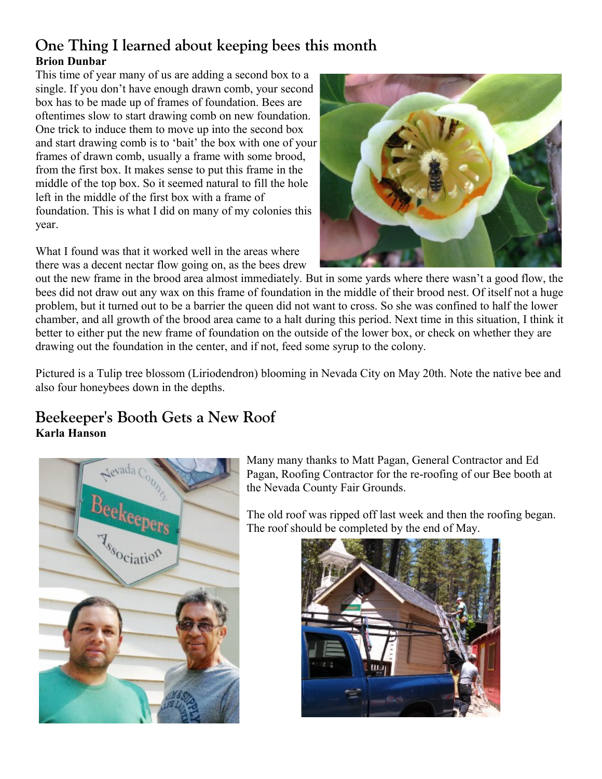## **One Thing I learned about keeping bees this month Brion Dunbar**

This time of year many of us are adding a second box to a single. If you don't have enough drawn comb, your second box has to be made up of frames of foundation. Bees are oftentimes slow to start drawing comb on new foundation. One trick to induce them to move up into the second box and start drawing comb is to 'bait' the box with one of your frames of drawn comb, usually a frame with some brood, from the first box. It makes sense to put this frame in the middle of the top box. So it seemed natural to fill the hole left in the middle of the first box with a frame of foundation. This is what I did on many of my colonies this year.

What I found was that it worked well in the areas where there was a decent nectar flow going on, as the bees drew



out the new frame in the brood area almost immediately. But in some yards where there wasn't a good flow, the bees did not draw out any wax on this frame of foundation in the middle of their brood nest. Of itself not a huge problem, but it turned out to be a barrier the queen did not want to cross. So she was confined to half the lower chamber, and all growth of the brood area came to a halt during this period. Next time in this situation, I think it better to either put the new frame of foundation on the outside of the lower box, or check on whether they are drawing out the foundation in the center, and if not, feed some syrup to the colony.

Pictured is a Tulip tree blossom (Liriodendron) blooming in Nevada City on May 20th. Note the native bee and also four honeybees down in the depths.

## **Beekeeper's Booth Gets a New Roof Karla Hanson**



Many many thanks to Matt Pagan, General Contractor and Ed Pagan, Roofing Contractor for the re-roofing of our Bee booth at the Nevada County Fair Grounds.

The old roof was ripped off last week and then the roofing began. The roof should be completed by the end of May.

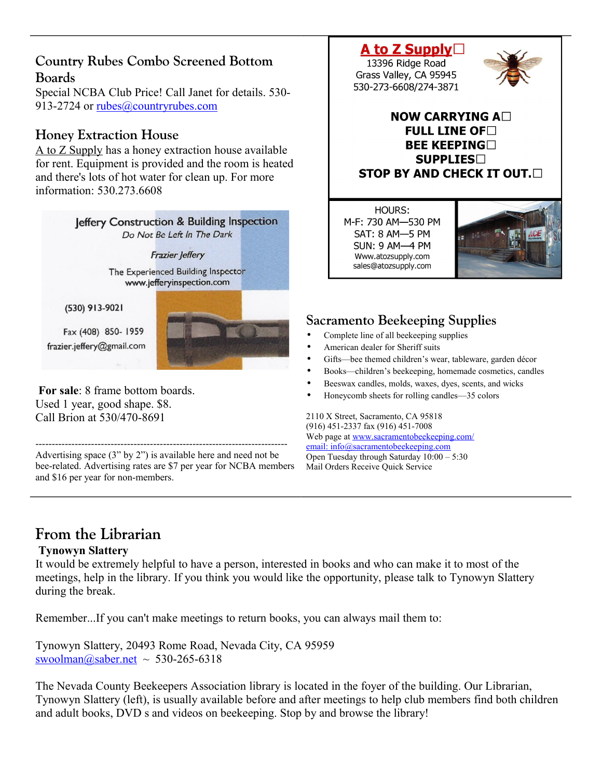### **Country Rubes Combo Screened Bottom Boards**

Special NCBA Club Price! Call Janet for details. 530 913-2724 or [rubes@countryrubes.com](mailto:rubes@countryrubes.com)

### **Honey Extraction House**

A to Z Supply has a honey extraction house available for rent. Equipment is provided and the room is heated and there's lots of hot water for clean up. For more information: 530.273.6608



Used 1 year, good shape. \$8. Call Brion at 530/470-8691

----------------------------------------------------------------------------- Advertising space (3" by 2") is available here and need not be bee-related. Advertising rates are \$7 per year for NCBA members and \$16 per year for non-members.

#### A to Z Supply $\Box$ 13396 Ridge Road

Grass Valley, CA 95945 530-273-6608/274-3871



#### **NOW CARRYING A FULL LINE OF BEE KEEPING SUPPLIES STOP BY AND CHECK IT OUT.**

HOURS: M-F: 730 AM-530 PM SAT: 8 AM-5 PM **SUN: 9 AM-4 PM** Www.atozsupply.com sales@atozsupply.com



## **Sacramento Beekeeping Supplies**

- Complete line of all beekeeping supplies
- American dealer for Sheriff suits
- Gifts—bee themed children's wear, tableware, garden décor
- Books—children's beekeeping, homemade cosmetics, candles
- Beeswax candles, molds, waxes, dyes, scents, and wicks
- Honeycomb sheets for rolling candles—35 colors

2110 X Street, Sacramento, CA 95818 (916) 451-2337 fax (916) 451-7008 Web page at [www.sacramentobeekeeping.com/](http://www.sacramentobeekeeping.com/) email: inf[o@sacramentobeekeeping.com](mailto:%20info@sacramentobeekeeping.com) Open Tuesday through Saturday 10:00 – 5:30 Mail Orders Receive Quick Service

# **From the Librarian**

#### **Tynowyn Slattery**

It would be extremely helpful to have a person, interested in books and who can make it to most of the meetings, help in the library. If you think you would like the opportunity, please talk to Tynowyn Slattery during the break.

Remember...If you can't make meetings to return books, you can always mail them to:

Tynowyn Slattery, 20493 Rome Road, Nevada City, CA 95959 [swoolman@saber.net](mailto:swoolman@saber.net) ~ 530-265-6318

The Nevada County Beekeepers Association library is located in the foyer of the building. Our Librarian, Tynowyn Slattery (left), is usually available before and after meetings to help club members find both children and adult books, DVD s and videos on beekeeping. Stop by and browse the library!